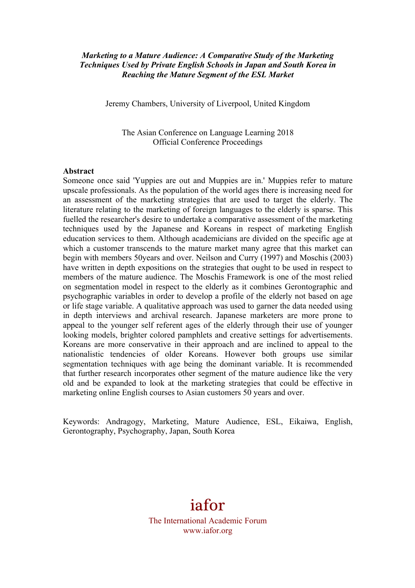### *Marketing to a Mature Audience: A Comparative Study of the Marketing Techniques Used by Private English Schools in Japan and South Korea in Reaching the Mature Segment of the ESL Market*

Jeremy Chambers, University of Liverpool, United Kingdom

The Asian Conference on Language Learning 2018 Official Conference Proceedings

#### **Abstract**

Someone once said 'Yuppies are out and Muppies are in.' Muppies refer to mature upscale professionals. As the population of the world ages there is increasing need for an assessment of the marketing strategies that are used to target the elderly. The literature relating to the marketing of foreign languages to the elderly is sparse. This fuelled the researcher's desire to undertake a comparative assessment of the marketing techniques used by the Japanese and Koreans in respect of marketing English education services to them. Although academicians are divided on the specific age at which a customer transcends to the mature market many agree that this market can begin with members 50years and over. Neilson and Curry (1997) and Moschis (2003) have written in depth expositions on the strategies that ought to be used in respect to members of the mature audience. The Moschis Framework is one of the most relied on segmentation model in respect to the elderly as it combines Gerontographic and psychographic variables in order to develop a profile of the elderly not based on age or life stage variable. A qualitative approach was used to garner the data needed using in depth interviews and archival research. Japanese marketers are more prone to appeal to the younger self referent ages of the elderly through their use of younger looking models, brighter colored pamphlets and creative settings for advertisements. Koreans are more conservative in their approach and are inclined to appeal to the nationalistic tendencies of older Koreans. However both groups use similar segmentation techniques with age being the dominant variable. It is recommended that further research incorporates other segment of the mature audience like the very old and be expanded to look at the marketing strategies that could be effective in marketing online English courses to Asian customers 50 years and over.

Keywords: Andragogy, Marketing, Mature Audience, ESL, Eikaiwa, English, Gerontography, Psychography, Japan, South Korea

> iafor The International Academic Forum www.iafor.org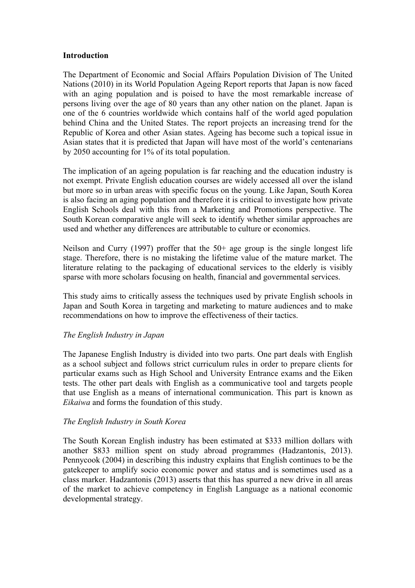### **Introduction**

The Department of Economic and Social Affairs Population Division of The United Nations (2010) in its World Population Ageing Report reports that Japan is now faced with an aging population and is poised to have the most remarkable increase of persons living over the age of 80 years than any other nation on the planet. Japan is one of the 6 countries worldwide which contains half of the world aged population behind China and the United States. The report projects an increasing trend for the Republic of Korea and other Asian states. Ageing has become such a topical issue in Asian states that it is predicted that Japan will have most of the world's centenarians by 2050 accounting for 1% of its total population.

The implication of an ageing population is far reaching and the education industry is not exempt. Private English education courses are widely accessed all over the island but more so in urban areas with specific focus on the young. Like Japan, South Korea is also facing an aging population and therefore it is critical to investigate how private English Schools deal with this from a Marketing and Promotions perspective. The South Korean comparative angle will seek to identify whether similar approaches are used and whether any differences are attributable to culture or economics.

Neilson and Curry (1997) proffer that the 50+ age group is the single longest life stage. Therefore, there is no mistaking the lifetime value of the mature market. The literature relating to the packaging of educational services to the elderly is visibly sparse with more scholars focusing on health, financial and governmental services.

This study aims to critically assess the techniques used by private English schools in Japan and South Korea in targeting and marketing to mature audiences and to make recommendations on how to improve the effectiveness of their tactics.

### *The English Industry in Japan*

The Japanese English Industry is divided into two parts. One part deals with English as a school subject and follows strict curriculum rules in order to prepare clients for particular exams such as High School and University Entrance exams and the Eiken tests. The other part deals with English as a communicative tool and targets people that use English as a means of international communication. This part is known as *Eikaiwa* and forms the foundation of this study.

### *The English Industry in South Korea*

The South Korean English industry has been estimated at \$333 million dollars with another \$833 million spent on study abroad programmes (Hadzantonis, 2013). Pennycook (2004) in describing this industry explains that English continues to be the gatekeeper to amplify socio economic power and status and is sometimes used as a class marker. Hadzantonis (2013) asserts that this has spurred a new drive in all areas of the market to achieve competency in English Language as a national economic developmental strategy.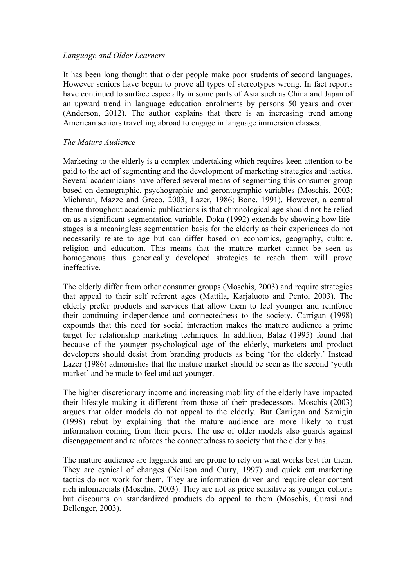# *Language and Older Learners*

It has been long thought that older people make poor students of second languages. However seniors have begun to prove all types of stereotypes wrong. In fact reports have continued to surface especially in some parts of Asia such as China and Japan of an upward trend in language education enrolments by persons 50 years and over (Anderson, 2012). The author explains that there is an increasing trend among American seniors travelling abroad to engage in language immersion classes.

# *The Mature Audience*

Marketing to the elderly is a complex undertaking which requires keen attention to be paid to the act of segmenting and the development of marketing strategies and tactics. Several academicians have offered several means of segmenting this consumer group based on demographic, psychographic and gerontographic variables (Moschis, 2003; Michman, Mazze and Greco, 2003; Lazer, 1986; Bone, 1991). However, a central theme throughout academic publications is that chronological age should not be relied on as a significant segmentation variable. Doka (1992) extends by showing how lifestages is a meaningless segmentation basis for the elderly as their experiences do not necessarily relate to age but can differ based on economics, geography, culture, religion and education. This means that the mature market cannot be seen as homogenous thus generically developed strategies to reach them will prove ineffective.

The elderly differ from other consumer groups (Moschis, 2003) and require strategies that appeal to their self referent ages (Mattila, Karjaluoto and Pento, 2003). The elderly prefer products and services that allow them to feel younger and reinforce their continuing independence and connectedness to the society. Carrigan (1998) expounds that this need for social interaction makes the mature audience a prime target for relationship marketing techniques. In addition, Balaz (1995) found that because of the younger psychological age of the elderly, marketers and product developers should desist from branding products as being 'for the elderly.' Instead Lazer (1986) admonishes that the mature market should be seen as the second 'youth market' and be made to feel and act younger.

The higher discretionary income and increasing mobility of the elderly have impacted their lifestyle making it different from those of their predecessors. Moschis (2003) argues that older models do not appeal to the elderly. But Carrigan and Szmigin (1998) rebut by explaining that the mature audience are more likely to trust information coming from their peers. The use of older models also guards against disengagement and reinforces the connectedness to society that the elderly has.

The mature audience are laggards and are prone to rely on what works best for them. They are cynical of changes (Neilson and Curry, 1997) and quick cut marketing tactics do not work for them. They are information driven and require clear content rich infomercials (Moschis, 2003). They are not as price sensitive as younger cohorts but discounts on standardized products do appeal to them (Moschis, Curasi and Bellenger, 2003).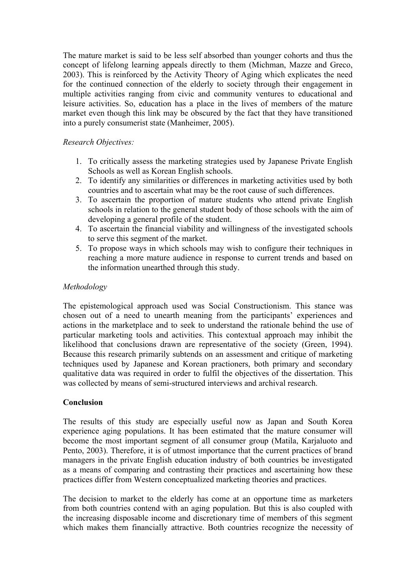The mature market is said to be less self absorbed than younger cohorts and thus the concept of lifelong learning appeals directly to them (Michman, Mazze and Greco, 2003). This is reinforced by the Activity Theory of Aging which explicates the need for the continued connection of the elderly to society through their engagement in multiple activities ranging from civic and community ventures to educational and leisure activities. So, education has a place in the lives of members of the mature market even though this link may be obscured by the fact that they have transitioned into a purely consumerist state (Manheimer, 2005).

### *Research Objectives:*

- 1. To critically assess the marketing strategies used by Japanese Private English Schools as well as Korean English schools.
- 2. To identify any similarities or differences in marketing activities used by both countries and to ascertain what may be the root cause of such differences.
- 3. To ascertain the proportion of mature students who attend private English schools in relation to the general student body of those schools with the aim of developing a general profile of the student.
- 4. To ascertain the financial viability and willingness of the investigated schools to serve this segment of the market.
- 5. To propose ways in which schools may wish to configure their techniques in reaching a more mature audience in response to current trends and based on the information unearthed through this study.

# *Methodology*

The epistemological approach used was Social Constructionism. This stance was chosen out of a need to unearth meaning from the participants' experiences and actions in the marketplace and to seek to understand the rationale behind the use of particular marketing tools and activities. This contextual approach may inhibit the likelihood that conclusions drawn are representative of the society (Green, 1994). Because this research primarily subtends on an assessment and critique of marketing techniques used by Japanese and Korean practioners, both primary and secondary qualitative data was required in order to fulfil the objectives of the dissertation. This was collected by means of semi-structured interviews and archival research.

### **Conclusion**

The results of this study are especially useful now as Japan and South Korea experience aging populations. It has been estimated that the mature consumer will become the most important segment of all consumer group (Matila, Karialuoto and Pento, 2003). Therefore, it is of utmost importance that the current practices of brand managers in the private English education industry of both countries be investigated as a means of comparing and contrasting their practices and ascertaining how these practices differ from Western conceptualized marketing theories and practices.

The decision to market to the elderly has come at an opportune time as marketers from both countries contend with an aging population. But this is also coupled with the increasing disposable income and discretionary time of members of this segment which makes them financially attractive. Both countries recognize the necessity of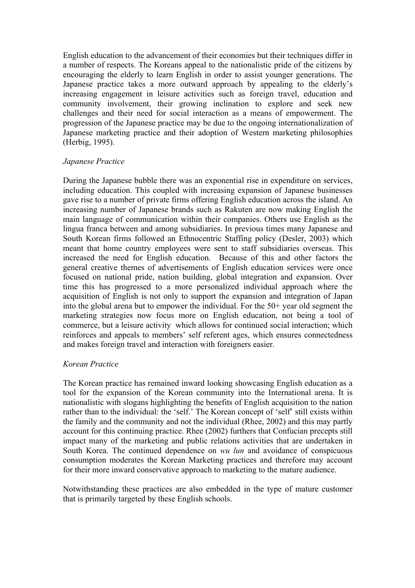English education to the advancement of their economies but their techniques differ in a number of respects. The Koreans appeal to the nationalistic pride of the citizens by encouraging the elderly to learn English in order to assist younger generations. The Japanese practice takes a more outward approach by appealing to the elderly's increasing engagement in leisure activities such as foreign travel, education and community involvement, their growing inclination to explore and seek new challenges and their need for social interaction as a means of empowerment. The progression of the Japanese practice may be due to the ongoing internationalization of Japanese marketing practice and their adoption of Western marketing philosophies (Herbig, 1995).

### *Japanese Practice*

During the Japanese bubble there was an exponential rise in expenditure on services, including education. This coupled with increasing expansion of Japanese businesses gave rise to a number of private firms offering English education across the island. An increasing number of Japanese brands such as Rakuten are now making English the main language of communication within their companies. Others use English as the lingua franca between and among subsidiaries. In previous times many Japanese and South Korean firms followed an Ethnocentric Staffing policy (Desler, 2003) which meant that home country employees were sent to staff subsidiaries overseas. This increased the need for English education. Because of this and other factors the general creative themes of advertisements of English education services were once focused on national pride, nation building, global integration and expansion. Over time this has progressed to a more personalized individual approach where the acquisition of English is not only to support the expansion and integration of Japan into the global arena but to empower the individual. For the 50+ year old segment the marketing strategies now focus more on English education, not being a tool of commerce, but a leisure activity which allows for continued social interaction; which reinforces and appeals to members' self referent ages, which ensures connectedness and makes foreign travel and interaction with foreigners easier.

# *Korean Practice*

The Korean practice has remained inward looking showcasing English education as a tool for the expansion of the Korean community into the International arena. It is nationalistic with slogans highlighting the benefits of English acquisition to the nation rather than to the individual: the 'self.' The Korean concept of 'self' still exists within the family and the community and not the individual (Rhee, 2002) and this may partly account for this continuing practice. Rhee (2002) furthers that Confucian precepts still impact many of the marketing and public relations activities that are undertaken in South Korea. The continued dependence on *wu lun* and avoidance of conspicuous consumption moderates the Korean Marketing practices and therefore may account for their more inward conservative approach to marketing to the mature audience.

Notwithstanding these practices are also embedded in the type of mature customer that is primarily targeted by these English schools.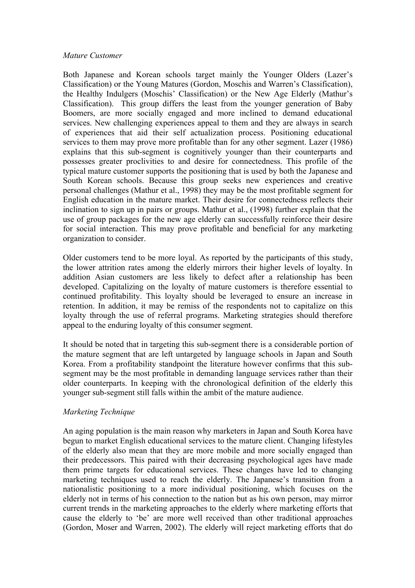### *Mature Customer*

Both Japanese and Korean schools target mainly the Younger Olders (Lazer's Classification) or the Young Matures (Gordon, Moschis and Warren's Classification), the Healthy Indulgers (Moschis' Classification) or the New Age Elderly (Mathur's Classification). This group differs the least from the younger generation of Baby Boomers, are more socially engaged and more inclined to demand educational services. New challenging experiences appeal to them and they are always in search of experiences that aid their self actualization process. Positioning educational services to them may prove more profitable than for any other segment. Lazer (1986) explains that this sub-segment is cognitively younger than their counterparts and possesses greater proclivities to and desire for connectedness. This profile of the typical mature customer supports the positioning that is used by both the Japanese and South Korean schools. Because this group seeks new experiences and creative personal challenges (Mathur et al., 1998) they may be the most profitable segment for English education in the mature market. Their desire for connectedness reflects their inclination to sign up in pairs or groups. Mathur et al., (1998) further explain that the use of group packages for the new age elderly can successfully reinforce their desire for social interaction. This may prove profitable and beneficial for any marketing organization to consider.

Older customers tend to be more loyal. As reported by the participants of this study, the lower attrition rates among the elderly mirrors their higher levels of loyalty. In addition Asian customers are less likely to defect after a relationship has been developed. Capitalizing on the loyalty of mature customers is therefore essential to continued profitability. This loyalty should be leveraged to ensure an increase in retention. In addition, it may be remiss of the respondents not to capitalize on this loyalty through the use of referral programs. Marketing strategies should therefore appeal to the enduring loyalty of this consumer segment.

It should be noted that in targeting this sub-segment there is a considerable portion of the mature segment that are left untargeted by language schools in Japan and South Korea. From a profitability standpoint the literature however confirms that this subsegment may be the most profitable in demanding language services rather than their older counterparts. In keeping with the chronological definition of the elderly this younger sub-segment still falls within the ambit of the mature audience.

# *Marketing Technique*

An aging population is the main reason why marketers in Japan and South Korea have begun to market English educational services to the mature client. Changing lifestyles of the elderly also mean that they are more mobile and more socially engaged than their predecessors. This paired with their decreasing psychological ages have made them prime targets for educational services. These changes have led to changing marketing techniques used to reach the elderly. The Japanese's transition from a nationalistic positioning to a more individual positioning, which focuses on the elderly not in terms of his connection to the nation but as his own person, may mirror current trends in the marketing approaches to the elderly where marketing efforts that cause the elderly to 'be' are more well received than other traditional approaches (Gordon, Moser and Warren, 2002). The elderly will reject marketing efforts that do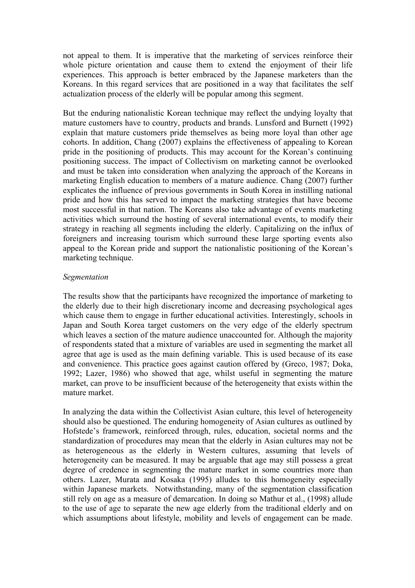not appeal to them. It is imperative that the marketing of services reinforce their whole picture orientation and cause them to extend the enjoyment of their life experiences. This approach is better embraced by the Japanese marketers than the Koreans. In this regard services that are positioned in a way that facilitates the self actualization process of the elderly will be popular among this segment.

But the enduring nationalistic Korean technique may reflect the undying loyalty that mature customers have to country, products and brands. Lunsford and Burnett (1992) explain that mature customers pride themselves as being more loyal than other age cohorts. In addition, Chang (2007) explains the effectiveness of appealing to Korean pride in the positioning of products. This may account for the Korean's continuing positioning success. The impact of Collectivism on marketing cannot be overlooked and must be taken into consideration when analyzing the approach of the Koreans in marketing English education to members of a mature audience. Chang (2007) further explicates the influence of previous governments in South Korea in instilling national pride and how this has served to impact the marketing strategies that have become most successful in that nation. The Koreans also take advantage of events marketing activities which surround the hosting of several international events, to modify their strategy in reaching all segments including the elderly. Capitalizing on the influx of foreigners and increasing tourism which surround these large sporting events also appeal to the Korean pride and support the nationalistic positioning of the Korean's marketing technique.

### *Segmentation*

The results show that the participants have recognized the importance of marketing to the elderly due to their high discretionary income and decreasing psychological ages which cause them to engage in further educational activities. Interestingly, schools in Japan and South Korea target customers on the very edge of the elderly spectrum which leaves a section of the mature audience unaccounted for. Although the majority of respondents stated that a mixture of variables are used in segmenting the market all agree that age is used as the main defining variable. This is used because of its ease and convenience. This practice goes against caution offered by (Greco, 1987; Doka, 1992; Lazer, 1986) who showed that age, whilst useful in segmenting the mature market, can prove to be insufficient because of the heterogeneity that exists within the mature market.

In analyzing the data within the Collectivist Asian culture, this level of heterogeneity should also be questioned. The enduring homogeneity of Asian cultures as outlined by Hofstede's framework, reinforced through, rules, education, societal norms and the standardization of procedures may mean that the elderly in Asian cultures may not be as heterogeneous as the elderly in Western cultures, assuming that levels of heterogeneity can be measured. It may be arguable that age may still possess a great degree of credence in segmenting the mature market in some countries more than others. Lazer, Murata and Kosaka (1995) alludes to this homogeneity especially within Japanese markets. Notwithstanding, many of the segmentation classification still rely on age as a measure of demarcation. In doing so Mathur et al., (1998) allude to the use of age to separate the new age elderly from the traditional elderly and on which assumptions about lifestyle, mobility and levels of engagement can be made.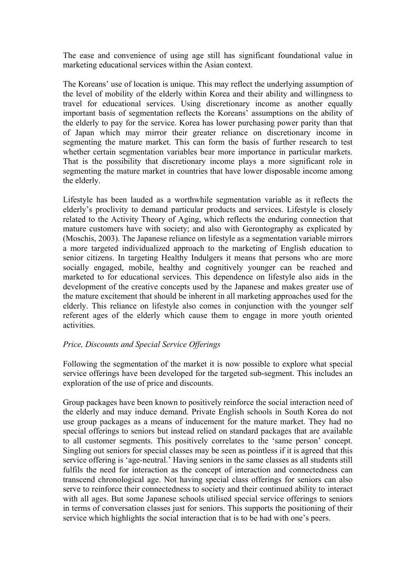The ease and convenience of using age still has significant foundational value in marketing educational services within the Asian context.

The Koreans' use of location is unique. This may reflect the underlying assumption of the level of mobility of the elderly within Korea and their ability and willingness to travel for educational services. Using discretionary income as another equally important basis of segmentation reflects the Koreans' assumptions on the ability of the elderly to pay for the service. Korea has lower purchasing power parity than that of Japan which may mirror their greater reliance on discretionary income in segmenting the mature market. This can form the basis of further research to test whether certain segmentation variables bear more importance in particular markets. That is the possibility that discretionary income plays a more significant role in segmenting the mature market in countries that have lower disposable income among the elderly.

Lifestyle has been lauded as a worthwhile segmentation variable as it reflects the elderly's proclivity to demand particular products and services. Lifestyle is closely related to the Activity Theory of Aging, which reflects the enduring connection that mature customers have with society; and also with Gerontography as explicated by (Moschis, 2003). The Japanese reliance on lifestyle as a segmentation variable mirrors a more targeted individualized approach to the marketing of English education to senior citizens. In targeting Healthy Indulgers it means that persons who are more socially engaged, mobile, healthy and cognitively younger can be reached and marketed to for educational services. This dependence on lifestyle also aids in the development of the creative concepts used by the Japanese and makes greater use of the mature excitement that should be inherent in all marketing approaches used for the elderly. This reliance on lifestyle also comes in conjunction with the younger self referent ages of the elderly which cause them to engage in more youth oriented activities.

### *Price, Discounts and Special Service Offerings*

Following the segmentation of the market it is now possible to explore what special service offerings have been developed for the targeted sub-segment. This includes an exploration of the use of price and discounts.

Group packages have been known to positively reinforce the social interaction need of the elderly and may induce demand. Private English schools in South Korea do not use group packages as a means of inducement for the mature market. They had no special offerings to seniors but instead relied on standard packages that are available to all customer segments. This positively correlates to the 'same person' concept. Singling out seniors for special classes may be seen as pointless if it is agreed that this service offering is 'age-neutral.' Having seniors in the same classes as all students still fulfils the need for interaction as the concept of interaction and connectedness can transcend chronological age. Not having special class offerings for seniors can also serve to reinforce their connectedness to society and their continued ability to interact with all ages. But some Japanese schools utilised special service offerings to seniors in terms of conversation classes just for seniors. This supports the positioning of their service which highlights the social interaction that is to be had with one's peers.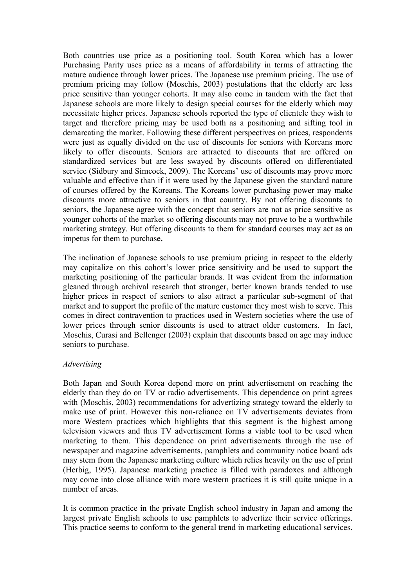Both countries use price as a positioning tool. South Korea which has a lower Purchasing Parity uses price as a means of affordability in terms of attracting the mature audience through lower prices. The Japanese use premium pricing. The use of premium pricing may follow (Moschis, 2003) postulations that the elderly are less price sensitive than younger cohorts. It may also come in tandem with the fact that Japanese schools are more likely to design special courses for the elderly which may necessitate higher prices. Japanese schools reported the type of clientele they wish to target and therefore pricing may be used both as a positioning and sifting tool in demarcating the market. Following these different perspectives on prices, respondents were just as equally divided on the use of discounts for seniors with Koreans more likely to offer discounts. Seniors are attracted to discounts that are offered on standardized services but are less swayed by discounts offered on differentiated service (Sidbury and Simcock, 2009). The Koreans' use of discounts may prove more valuable and effective than if it were used by the Japanese given the standard nature of courses offered by the Koreans. The Koreans lower purchasing power may make discounts more attractive to seniors in that country. By not offering discounts to seniors, the Japanese agree with the concept that seniors are not as price sensitive as younger cohorts of the market so offering discounts may not prove to be a worthwhile marketing strategy. But offering discounts to them for standard courses may act as an impetus for them to purchase**.** 

The inclination of Japanese schools to use premium pricing in respect to the elderly may capitalize on this cohort's lower price sensitivity and be used to support the marketing positioning of the particular brands. It was evident from the information gleaned through archival research that stronger, better known brands tended to use higher prices in respect of seniors to also attract a particular sub-segment of that market and to support the profile of the mature customer they most wish to serve. This comes in direct contravention to practices used in Western societies where the use of lower prices through senior discounts is used to attract older customers. In fact, Moschis, Curasi and Bellenger (2003) explain that discounts based on age may induce seniors to purchase.

### *Advertising*

Both Japan and South Korea depend more on print advertisement on reaching the elderly than they do on TV or radio advertisements. This dependence on print agrees with (Moschis, 2003) recommendations for advertizing strategy toward the elderly to make use of print. However this non-reliance on TV advertisements deviates from more Western practices which highlights that this segment is the highest among television viewers and thus TV advertisement forms a viable tool to be used when marketing to them. This dependence on print advertisements through the use of newspaper and magazine advertisements, pamphlets and community notice board ads may stem from the Japanese marketing culture which relies heavily on the use of print (Herbig, 1995). Japanese marketing practice is filled with paradoxes and although may come into close alliance with more western practices it is still quite unique in a number of areas.

It is common practice in the private English school industry in Japan and among the largest private English schools to use pamphlets to advertize their service offerings. This practice seems to conform to the general trend in marketing educational services.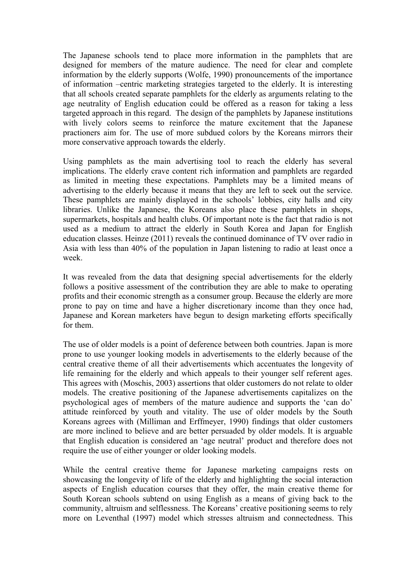The Japanese schools tend to place more information in the pamphlets that are designed for members of the mature audience. The need for clear and complete information by the elderly supports (Wolfe, 1990) pronouncements of the importance of information –centric marketing strategies targeted to the elderly. It is interesting that all schools created separate pamphlets for the elderly as arguments relating to the age neutrality of English education could be offered as a reason for taking a less targeted approach in this regard. The design of the pamphlets by Japanese institutions with lively colors seems to reinforce the mature excitement that the Japanese practioners aim for. The use of more subdued colors by the Koreans mirrors their more conservative approach towards the elderly.

Using pamphlets as the main advertising tool to reach the elderly has several implications. The elderly crave content rich information and pamphlets are regarded as limited in meeting these expectations. Pamphlets may be a limited means of advertising to the elderly because it means that they are left to seek out the service. These pamphlets are mainly displayed in the schools' lobbies, city halls and city libraries. Unlike the Japanese, the Koreans also place these pamphlets in shops, supermarkets, hospitals and health clubs. Of important note is the fact that radio is not used as a medium to attract the elderly in South Korea and Japan for English education classes. Heinze (2011) reveals the continued dominance of TV over radio in Asia with less than 40% of the population in Japan listening to radio at least once a week.

It was revealed from the data that designing special advertisements for the elderly follows a positive assessment of the contribution they are able to make to operating profits and their economic strength as a consumer group. Because the elderly are more prone to pay on time and have a higher discretionary income than they once had, Japanese and Korean marketers have begun to design marketing efforts specifically for them.

The use of older models is a point of deference between both countries. Japan is more prone to use younger looking models in advertisements to the elderly because of the central creative theme of all their advertisements which accentuates the longevity of life remaining for the elderly and which appeals to their younger self referent ages. This agrees with (Moschis, 2003) assertions that older customers do not relate to older models. The creative positioning of the Japanese advertisements capitalizes on the psychological ages of members of the mature audience and supports the 'can do' attitude reinforced by youth and vitality. The use of older models by the South Koreans agrees with (Milliman and Erffmeyer, 1990) findings that older customers are more inclined to believe and are better persuaded by older models. It is arguable that English education is considered an 'age neutral' product and therefore does not require the use of either younger or older looking models.

While the central creative theme for Japanese marketing campaigns rests on showcasing the longevity of life of the elderly and highlighting the social interaction aspects of English education courses that they offer, the main creative theme for South Korean schools subtend on using English as a means of giving back to the community, altruism and selflessness. The Koreans' creative positioning seems to rely more on Leventhal (1997) model which stresses altruism and connectedness. This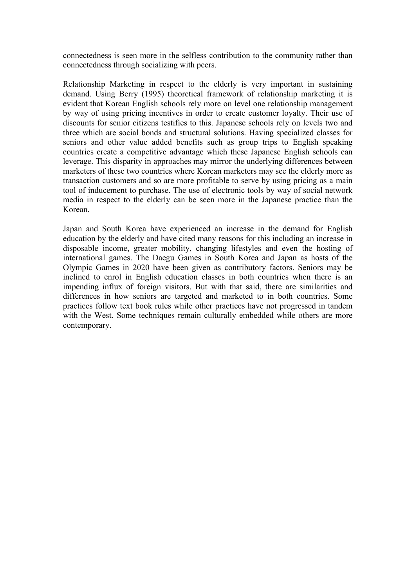connectedness is seen more in the selfless contribution to the community rather than connectedness through socializing with peers.

Relationship Marketing in respect to the elderly is very important in sustaining demand. Using Berry (1995) theoretical framework of relationship marketing it is evident that Korean English schools rely more on level one relationship management by way of using pricing incentives in order to create customer loyalty. Their use of discounts for senior citizens testifies to this. Japanese schools rely on levels two and three which are social bonds and structural solutions. Having specialized classes for seniors and other value added benefits such as group trips to English speaking countries create a competitive advantage which these Japanese English schools can leverage. This disparity in approaches may mirror the underlying differences between marketers of these two countries where Korean marketers may see the elderly more as transaction customers and so are more profitable to serve by using pricing as a main tool of inducement to purchase. The use of electronic tools by way of social network media in respect to the elderly can be seen more in the Japanese practice than the Korean.

Japan and South Korea have experienced an increase in the demand for English education by the elderly and have cited many reasons for this including an increase in disposable income, greater mobility, changing lifestyles and even the hosting of international games. The Daegu Games in South Korea and Japan as hosts of the Olympic Games in 2020 have been given as contributory factors. Seniors may be inclined to enrol in English education classes in both countries when there is an impending influx of foreign visitors. But with that said, there are similarities and differences in how seniors are targeted and marketed to in both countries. Some practices follow text book rules while other practices have not progressed in tandem with the West. Some techniques remain culturally embedded while others are more contemporary.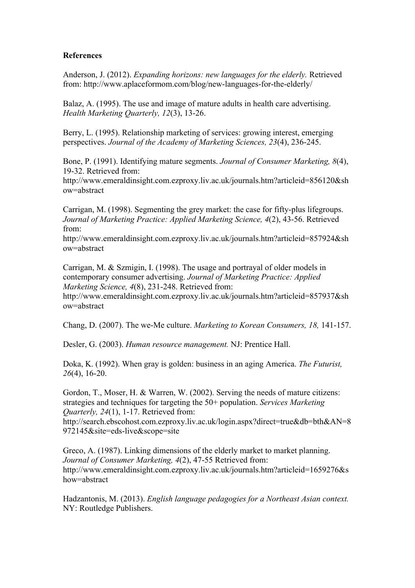### **References**

Anderson, J. (2012). *Expanding horizons: new languages for the elderly.* Retrieved from: http://www.aplaceformom.com/blog/new-languages-for-the-elderly/

Balaz, A. (1995). The use and image of mature adults in health care advertising. *Health Marketing Quarterly, 12*(3), 13-26.

Berry, L. (1995). Relationship marketing of services: growing interest, emerging perspectives. *Journal of the Academy of Marketing Sciences, 23*(4), 236-245.

Bone, P. (1991). Identifying mature segments. *Journal of Consumer Marketing, 8*(4), 19-32. Retrieved from:

http://www.emeraldinsight.com.ezproxy.liv.ac.uk/journals.htm?articleid=856120&sh ow=abstract

Carrigan, M. (1998). Segmenting the grey market: the case for fifty-plus lifegroups. *Journal of Marketing Practice: Applied Marketing Science, 4*(2), 43-56. Retrieved from:

http://www.emeraldinsight.com.ezproxy.liv.ac.uk/journals.htm?articleid=857924&sh ow=abstract

Carrigan, M. & Szmigin, I. (1998). The usage and portrayal of older models in contemporary consumer advertising. *Journal of Marketing Practice: Applied Marketing Science, 4*(8), 231-248. Retrieved from:

http://www.emeraldinsight.com.ezproxy.liv.ac.uk/journals.htm?articleid=857937&sh ow=abstract

Chang, D. (2007). The we-Me culture. *Marketing to Korean Consumers, 18,* 141-157.

Desler, G. (2003). *Human resource management.* NJ: Prentice Hall.

Doka, K. (1992). When gray is golden: business in an aging America. *The Futurist, 26*(4), 16-20.

Gordon, T., Moser, H. & Warren, W. (2002). Serving the needs of mature citizens: strategies and techniques for targeting the 50+ population. *Services Marketing Quarterly, 24*(1), 1-17. Retrieved from:

http://search.ebscohost.com.ezproxy.liv.ac.uk/login.aspx?direct=true&db=bth&AN=8 972145&site=eds-live&scope=site

Greco, A. (1987). Linking dimensions of the elderly market to market planning. *Journal of Consumer Marketing, 4*(2), 47-55 Retrieved from: http://www.emeraldinsight.com.ezproxy.liv.ac.uk/journals.htm?articleid=1659276&s how=abstract

Hadzantonis, M. (2013). *English language pedagogies for a Northeast Asian context.*  NY: Routledge Publishers.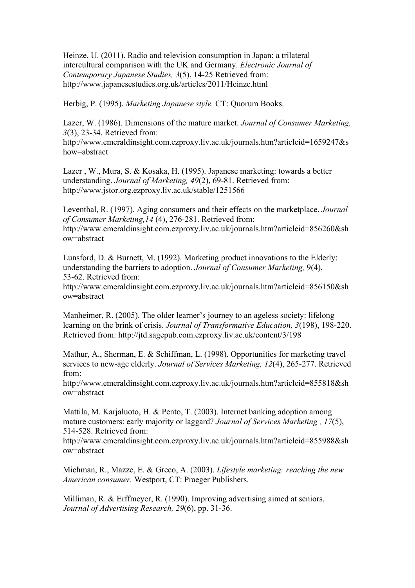Heinze, U. (2011). Radio and television consumption in Japan: a trilateral intercultural comparison with the UK and Germany. *Electronic Journal of Contemporary Japanese Studies, 3*(5), 14-25 Retrieved from: http://www.japanesestudies.org.uk/articles/2011/Heinze.html

Herbig, P. (1995). *Marketing Japanese style.* CT: Quorum Books.

Lazer, W. (1986). Dimensions of the mature market. *Journal of Consumer Marketing, 3*(3), 23-34. Retrieved from:

http://www.emeraldinsight.com.ezproxy.liv.ac.uk/journals.htm?articleid=1659247&s how=abstract

Lazer , W., Mura, S. & Kosaka, H. (1995). Japanese marketing: towards a better understanding. *Journal of Marketing, 49*(2), 69-81. Retrieved from: http://www.jstor.org.ezproxy.liv.ac.uk/stable/1251566

Leventhal, R. (1997). Aging consumers and their effects on the marketplace. *Journal of Consumer Marketing,14* (4), 276-281. Retrieved from: http://www.emeraldinsight.com.ezproxy.liv.ac.uk/journals.htm?articleid=856260&sh ow=abstract

Lunsford, D. & Burnett, M. (1992). Marketing product innovations to the Elderly: understanding the barriers to adoption. *Journal of Consumer Marketing,* 9(4), 53-62. Retrieved from:

http://www.emeraldinsight.com.ezproxy.liv.ac.uk/journals.htm?articleid=856150&sh ow=abstract

Manheimer, R. (2005). The older learner's journey to an ageless society: lifelong learning on the brink of crisis. *Journal of Transformative Education, 3*(198), 198-220. Retrieved from: http://jtd.sagepub.com.ezproxy.liv.ac.uk/content/3/198

Mathur, A., Sherman, E. & Schiffman, L. (1998). Opportunities for marketing travel services to new-age elderly. *Journal of Services Marketing, 12*(4), 265-277. Retrieved from:

http://www.emeraldinsight.com.ezproxy.liv.ac.uk/journals.htm?articleid=855818&sh ow=abstract

Mattila, M. Karjaluoto, H. & Pento, T. (2003). Internet banking adoption among mature customers: early majority or laggard? *Journal of Services Marketing , 17*(5), 514-528. Retrieved from:

http://www.emeraldinsight.com.ezproxy.liv.ac.uk/journals.htm?articleid=855988&sh ow=abstract

Michman, R., Mazze, E. & Greco, A. (2003). *Lifestyle marketing: reaching the new American consumer.* Westport, CT: Praeger Publishers.

Milliman, R. & Erffmeyer, R. (1990). Improving advertising aimed at seniors. *Journal of Advertising Research, 29*(6), pp. 31-36.